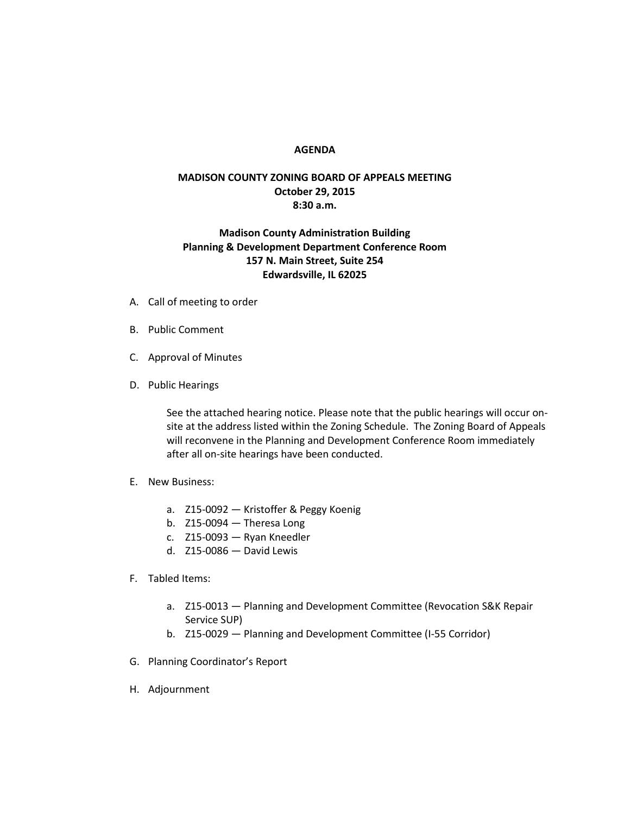## **AGENDA**

## **MADISON COUNTY ZONING BOARD OF APPEALS MEETING October 29, 2015 8:30 a.m.**

## **Madison County Administration Building Planning & Development Department Conference Room 157 N. Main Street, Suite 254 Edwardsville, IL 62025**

- A. Call of meeting to order
- B. Public Comment
- C. Approval of Minutes
- D. Public Hearings

See the attached hearing notice. Please note that the public hearings will occur onsite at the address listed within the Zoning Schedule. The Zoning Board of Appeals will reconvene in the Planning and Development Conference Room immediately after all on-site hearings have been conducted.

- E. New Business:
	- a. Z15-0092 Kristoffer & Peggy Koenig
	- b. Z15-0094 Theresa Long
	- c. Z15-0093 Ryan Kneedler
	- d. Z15-0086 David Lewis
- F. Tabled Items:
	- a. Z15-0013 Planning and Development Committee (Revocation S&K Repair Service SUP)
	- b. Z15-0029 Planning and Development Committee (I-55 Corridor)
- G. Planning Coordinator's Report
- H. Adjournment